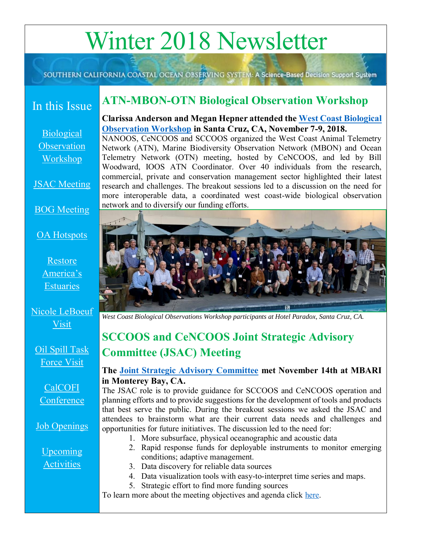# Winter 2018 Newsletter

SOUTHERN CALIFORNIA COASTAL OCEAN OBSERVING SYSTEM: A Science-Based Decision Support System

# In this Issue

<span id="page-0-0"></span>**ATN-MBON-OTN Biological Observation Workshop**

[Biological](#page-0-0)  **Observation** [Workshop](#page-0-0)

**JSAC** Meeting

#### [BOG Meeting](#page-1-0)

#### [OA Hotspots](#page-2-0)

[Restore](#page-2-1)  [America's](#page-2-1)  [Estuaries](#page-2-1)

[Nicole LeBoeuf](#page-3-0)  [Visit](#page-3-0)

[Oil Spill Task](#page-3-0)  [Force Visit](#page-3-0)

CalCOFI **Conference** 

**Job Openings** 

[Upcoming](#page-4-1)  **[Activities](#page-4-1)** 

**Clarissa Anderson and Megan Hepner attended the [West Coast Biological](http://sccoos.org/event/u-s-west-coast-biological-observing-workshop/)  [Observation Workshop](http://sccoos.org/event/u-s-west-coast-biological-observing-workshop/) in Santa Cruz, CA, November 7-9, 2018.** NANOOS, CeNCOOS and SCCOOS organized the West Coast Animal Telemetry Network (ATN), Marine Biodiversity Observation Network (MBON) and Ocean Telemetry Network (OTN) meeting, hosted by CeNCOOS, and led by Bill Woodward, IOOS ATN Coordinator. Over 40 individuals from the research,

commercial, private and conservation management sector highlighted their latest research and challenges. The breakout sessions led to a discussion on the need for more interoperable data, a coordinated west coast-wide biological observation network and to diversify our funding efforts.



<span id="page-0-1"></span>*West Coast Biological Observations Workshop participants at Hotel Paradox, Santa Cruz, CA.* 

# **SCCOOS and CeNCOOS Joint Strategic Advisory Committee (JSAC) Meeting**

#### **The [Joint Strategic Advisory Committee](http://sccoos.org/joint-strategic-advisory-committee/) met November 14th at MBARI in Monterey Bay, CA.**

The JSAC role is to provide guidance for SCCOOS and CeNCOOS operation and planning efforts and to provide suggestions for the development of tools and products that best serve the public. During the breakout sessions we asked the JSAC and attendees to brainstorm what are their current data needs and challenges and opportunities for future initiatives. The discussion led to the need for:

- 1. More subsurface, physical oceanographic and acoustic data
- 2. Rapid response funds for deployable instruments to monitor emerging conditions; adaptive management.
- 3. Data discovery for reliable data sources
- 4. Data visualization tools with easy-to-interpret time series and maps.
- 5. Strategic effort to find more funding sources

To learn more about the meeting objectives and agenda click [here.](http://sccoos.org/event/sccoos-cencoos-joint-strategic-advisory-committee-jsac-meeting/)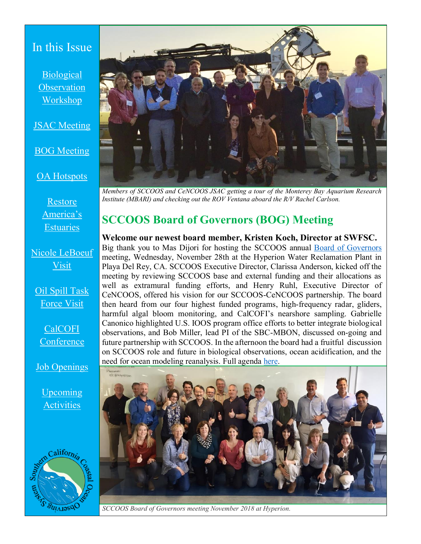#### In this Issue

**Biological Observation** [Workshop](#page-0-0)

[JSAC Meeting](#page-0-1)

[BOG Meeting](#page-1-0)

[OA Hotspots](#page-2-0)

[Restore](#page-2-1)  [America's](#page-2-1)  **[Estuaries](#page-2-1)** 

[Nicole LeBoeuf](#page-3-0)  [Visit](#page-3-0)

[Oil Spill Task](#page-3-0)  [Force Visit](#page-3-0)

CalCOFI **Conference** 

[Job Openings](#page-4-0) 

[Upcoming](#page-4-1)  **[Activities](#page-4-1)** 





*Members of SCCOOS and CeNCOOS JSAC getting a tour of the Monterey Bay Aquarium Research Institute (MBARI) and checking out the ROV Ventana aboard the R/V Rachel Carlson.* 

# <span id="page-1-0"></span>**SCCOOS Board of Governors (BOG) Meeting**

**Welcome our newest board member, Kristen Koch, Director at SWFSC.**  Big thank you to Mas Dijori for hosting the SCCOOS annual [Board of Governors](http://sccoos.org/board-of-governors/) meeting, Wednesday, November 28th at the Hyperion Water Reclamation Plant in Playa Del Rey, CA. SCCOOS Executive Director, Clarissa Anderson, kicked off the meeting by reviewing SCCOOS base and external funding and their allocations as well as extramural funding efforts, and Henry Ruhl, Executive Director of CeNCOOS, offered his vision for our SCCOOS-CeNCOOS partnership. The board then heard from our four highest funded programs, high-frequency radar, gliders, harmful algal bloom monitoring, and CalCOFI's nearshore sampling. Gabrielle Canonico highlighted U.S. IOOS program office efforts to better integrate biological observations, and Bob Miller, lead PI of the SBC-MBON, discussed on-going and future partnership with SCCOOS. In the afternoon the board had a fruitful discussion on SCCOOS role and future in biological observations, ocean acidification, and the need for ocean modeling reanalysis. Full agenda [here.](http://sccoos.org/event/sccoos-board-of-governors-meeting/)



*SCCOOS Board of Governors meeting November 2018 at Hyperion.*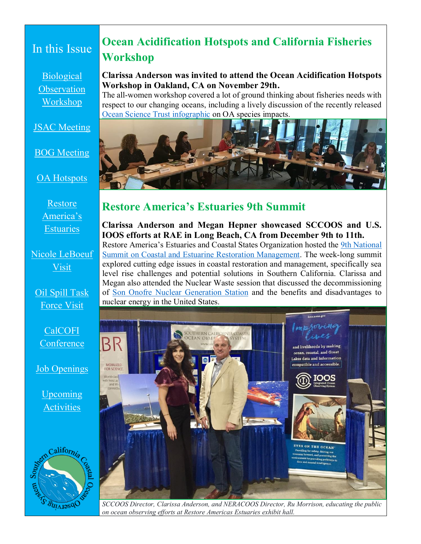# In this Issue

[Biological](#page-0-0)  **Observation** [Workshop](#page-0-0)

**JSAC** Meeting

#### [BOG Meeting](#page-1-0)

[OA Hotspots](#page-2-0)

[Restore](#page-2-1)  [America's](#page-2-1)  **[Estuaries](#page-2-1)** 

[Nicole LeBoeuf](#page-3-0)  [Visit](#page-3-0)

[Oil Spill Task](#page-3-0)  [Force Visit](#page-3-0)

CalCOFI **Conference** 

[Job Openings](#page-4-0) 

[Upcoming](#page-4-1)  **[Activities](#page-4-1)** 



# <span id="page-2-0"></span>**Ocean Acidification Hotspots and California Fisheries Workshop**

#### **Clarissa Anderson was invited to attend the Ocean Acidification Hotspots Workshop in Oakland, CA on November 29th.**

The all-women workshop covered a lot of ground thinking about fisheries needs with respect to our changing oceans, including a lively discussion of the recently released [Ocean Science Trust infographic](http://www.oceansciencetrust.org/wp-content/uploads/2019/01/OST-OA-Impacts-Infographic-Final.pdf) on OA species impacts.



#### <span id="page-2-1"></span>**Restore America's Estuaries 9th Summit**

**Clarissa Anderson and Megan Hepner showcased SCCOOS and U.S. IOOS efforts at RAE in Long Beach, CA from December 9th to 11th.**  Restore America's Estuaries and Coastal States Organization hosted the [9th National](https://www.estuaries.org/2018-summit-general-info)  [Summit on Coastal and Estuarine Restoration Management.](https://www.estuaries.org/2018-summit-general-info) The week-long summit explored cutting edge issues in coastal restoration and management, specifically sea level rise challenges and potential solutions in Southern California. Clarissa and Megan also attended the Nuclear Waste session that discussed the decommissioning of [Son Onofre Nuclear Generation Station](https://www.songscommunity.com/) and the benefits and disadvantages to nuclear energy in the United States.



*SCCOOS Director, Clarissa Anderson, and NERACOOS Director, Ru Morrison, educating the public on ocean observing efforts at Restore Americas Estuaries exhibit hall.*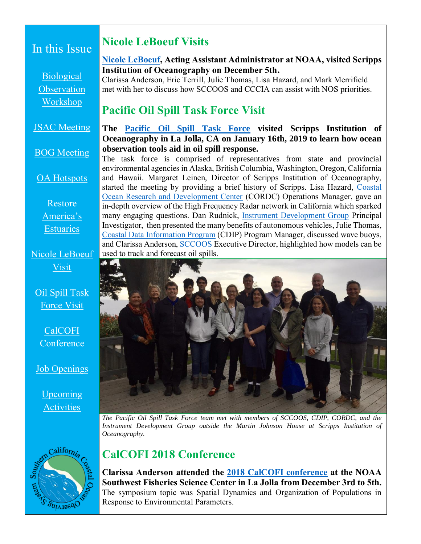### In this Issue

[Biological](#page-0-0)  **Observation** [Workshop](#page-0-0)

[JSAC Meeting](#page-0-1)

[BOG Meeting](#page-1-0)

[OA Hotspots](#page-2-0)

[Restore](#page-2-1)  [America's](#page-2-1)  **[Estuaries](#page-2-1)** 

[Nicole LeBoeuf](#page-3-0)  [Visit](#page-3-0)

[Oil Spill Task](#page-3-0)  [Force Visit](#page-3-0)

CalCOFI **Conference** 

[Job Openings](#page-4-0) 

[Upcoming](#page-4-1)  **[Activities](#page-4-1)** 

# <span id="page-3-0"></span>**Nicole LeBoeuf Visits**

#### **[Nicole LeBoeuf,](https://oceanservice.noaa.gov/about/nosaa-bio.html) Acting Assistant Administrator at NOAA, visited Scripps Institution of Oceanography on December 5th.**

Clarissa Anderson, Eric Terrill, Julie Thomas, Lisa Hazard, and Mark Merrifield met with her to discuss how SCCOOS and CCCIA can assist with NOS priorities.

# **Pacific Oil Spill Task Force Visit**

#### **The [Pacific Oil Spill Task Force](http://oilspilltaskforce.org/) visited Scripps Institution of Oceanography in La Jolla, CA on January 16th, 2019 to learn how ocean observation tools aid in oil spill response.**

The task force is comprised of representatives from state and provincial environmental agencies in Alaska, British Columbia, Washington, Oregon, California and Hawaii. Margaret Leinen, Director of Scripps Institution of Oceanography, started the meeting by providing a brief history of Scripps. Lisa Hazard, [Coastal](https://cordc.ucsd.edu/)  [Ocean Research and Development Center](https://cordc.ucsd.edu/) (CORDC) Operations Manager, gave an in-depth overview of the High Frequency Radar network in California which sparked many engaging questions. Dan Rudnick, [Instrument Development Group](http://idg.ucsd.edu/) Principal Investigator, then presented the many benefits of autonomous vehicles, Julie Thomas, [Coastal Data Information Program](http://cdip.ucsd.edu/) (CDIP) Program Manager, discussed wave buoys, and Clarissa Anderson, [SCCOOS](http://sccoos.org/) Executive Director, highlighted how models can be used to track and forecast oil spills.



*The Pacific Oil Spill Task Force team met with members of SCCOOS, CDIP, CORDC, and the Instrument Development Group outside the Martin Johnson House at Scripps Institution of Oceanography.*



# **CalCOFI 2018 Conference**

**Clarissa Anderson attended the [2018 CalCOFI conference](http://oceaninformatics.ucsd.edu/calcofi/conference/) at the NOAA Southwest Fisheries Science Center in La Jolla from December 3rd to 5th.**  The symposium topic was Spatial Dynamics and Organization of Populations in Response to Environmental Parameters.